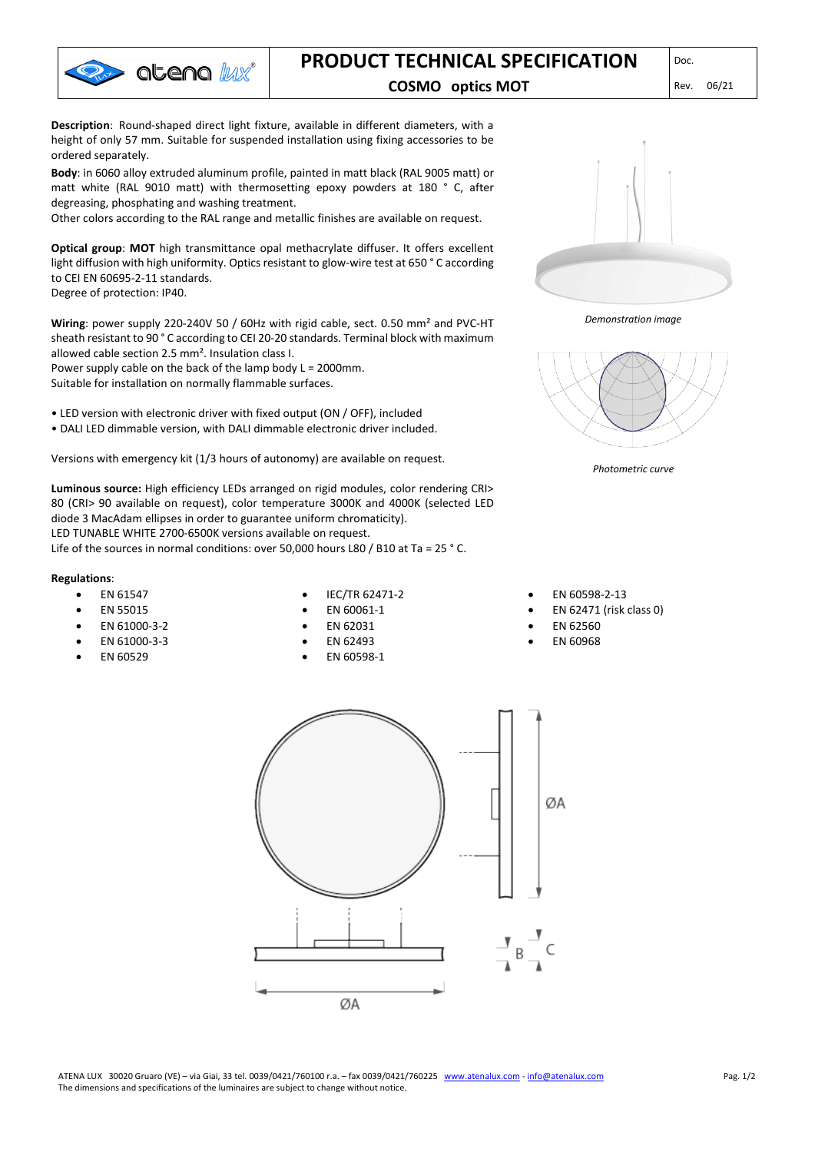

# **PRODUCT TECHNICAL SPECIFICATION**

### **COSMO optics MOT** Rev. 06/21

**Description**: Round-shaped direct light fixture, available in different diameters, with a height of only 57 mm. Suitable for suspended installation using fixing accessories to be ordered separately.

**Body**: in 6060 alloy extruded aluminum profile, painted in matt black (RAL 9005 matt) or matt white (RAL 9010 matt) with thermosetting epoxy powders at 180 ° C, after degreasing, phosphating and washing treatment.

Other colors according to the RAL range and metallic finishes are available on request.

**Optical group**: **MOT** high transmittance opal methacrylate diffuser. It offers excellent light diffusion with high uniformity. Optics resistant to glow-wire test at 650 ° C according to CEI EN 60695-2-11 standards.

Degree of protection: IP40.

**Wiring**: power supply 220-240V 50 / 60Hz with rigid cable, sect. 0.50 mm² and PVC-HT sheath resistant to 90 ° C according to CEI 20-20 standards. Terminal block with maximum allowed cable section 2.5 mm². Insulation class I.

Power supply cable on the back of the lamp body L = 2000mm. Suitable for installation on normally flammable surfaces.

- LED version with electronic driver with fixed output (ON / OFF), included
- DALI LED dimmable version, with DALI dimmable electronic driver included.

Versions with emergency kit (1/3 hours of autonomy) are available on request.

**Luminous source:** High efficiency LEDs arranged on rigid modules, color rendering CRI> 80 (CRI> 90 available on request), color temperature 3000K and 4000K (selected LED diode 3 MacAdam ellipses in order to guarantee uniform chromaticity). LED TUNABLE WHITE 2700-6500K versions available on request.

Life of the sources in normal conditions: over 50,000 hours L80 / B10 at Ta = 25 ° C.

#### **Regulations**:

- EN 61547
- EN 55015

• EN 61000-3-2 • EN 61000-3-3 • EN 60529

- IEC/TR 62471-2 • EN 60061-1
- EN 62031
- EN 62493
- EN 60598-1

*Demonstration image*



*Photometric curve*

• EN 60598-2-13

- EN 62471 (risk class 0)
- EN 62560
- EN 60968